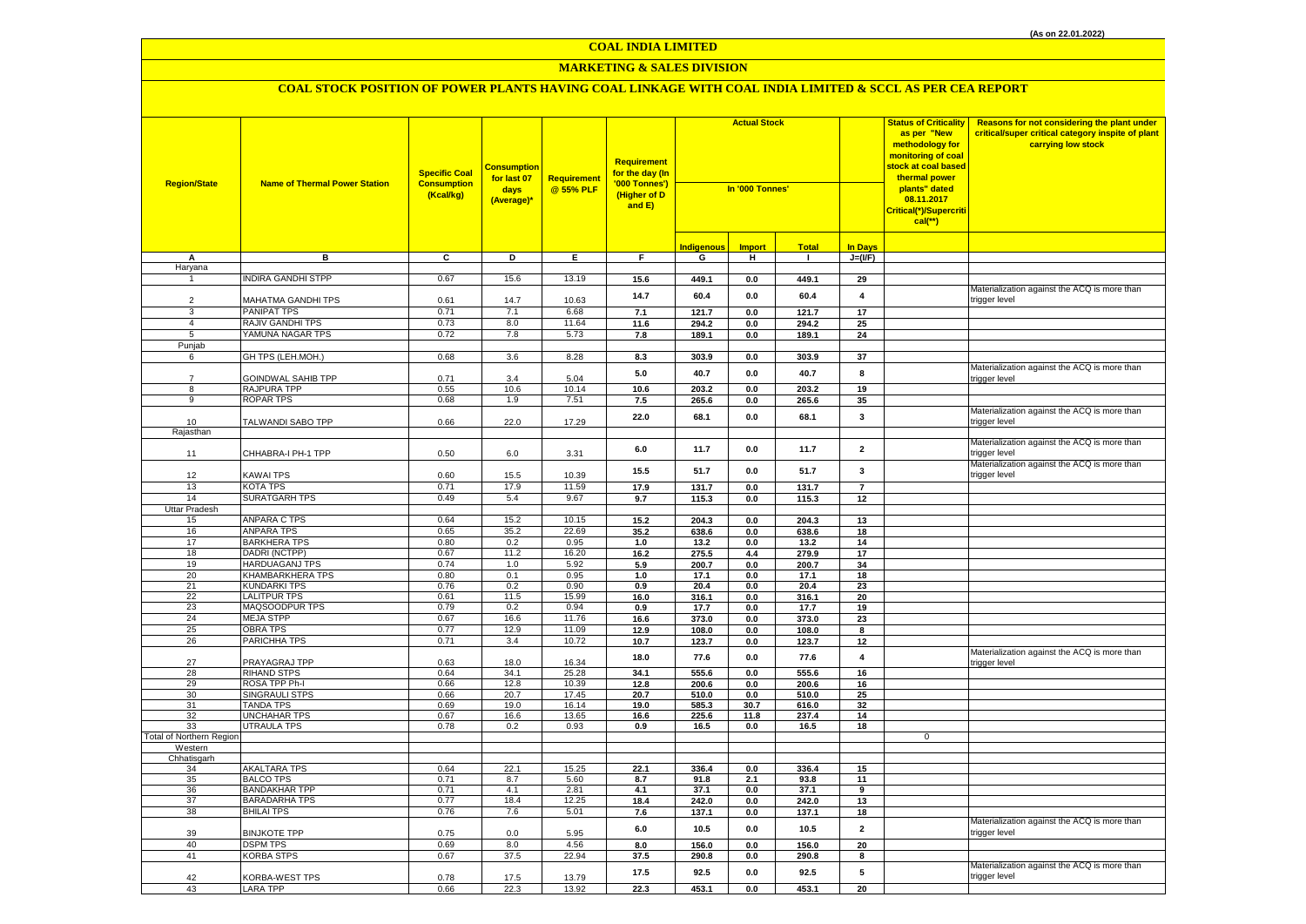## **MARKETING & SALES DIVISION**

| <b>Region/State</b>      | <b>Name of Thermal Power Station</b>         | <b>Specific Coal</b><br><b>Consumption</b><br>(Kcal/kg) | <mark>Consumption</mark><br>for last 07<br>days<br>(Average)* | Requirement<br>@ 55% PLF | <b>Requirement</b><br>for the day (In<br>'000 Tonnes')<br>(Higher of D<br>and E) | <b>Actual Stock</b><br>In '000 Tonnes' |                           |                |                         | <b>Status of Criticality</b><br>as per "New<br>methodology for<br>monitoring of coal<br><mark>stock at coal based</mark><br>thermal power<br>plants" dated<br>08.11.2017<br>Critical(*)/Supercriti<br>$cal$ (**) | Reasons for not considering the plant under<br>critical/super critical category inspite of plant<br>carrying low stock |
|--------------------------|----------------------------------------------|---------------------------------------------------------|---------------------------------------------------------------|--------------------------|----------------------------------------------------------------------------------|----------------------------------------|---------------------------|----------------|-------------------------|------------------------------------------------------------------------------------------------------------------------------------------------------------------------------------------------------------------|------------------------------------------------------------------------------------------------------------------------|
|                          |                                              |                                                         |                                                               |                          |                                                                                  | <b>Indigenous</b>                      | <b>Import</b>             | <b>Total</b>   | <b>In Days</b>          |                                                                                                                                                                                                                  |                                                                                                                        |
| А                        | в                                            | C                                                       | D                                                             | Ε.                       | F.                                                                               | G                                      | н                         | л.             | $J=(VF)$                |                                                                                                                                                                                                                  |                                                                                                                        |
| Haryana                  |                                              |                                                         |                                                               |                          |                                                                                  |                                        |                           |                |                         |                                                                                                                                                                                                                  |                                                                                                                        |
|                          | <b>NDIRA GANDHI STPP</b>                     | 0.67                                                    | 15.6                                                          | 13.19                    | 15.6                                                                             | 449.1                                  | 0.0                       | 449.1          | 29                      |                                                                                                                                                                                                                  | Materialization against the ACQ is more than                                                                           |
| $\overline{2}$           | MAHATMA GANDHI TPS                           | 0.61                                                    | 14.7                                                          | 10.63                    | 14.7                                                                             | 60.4                                   | 0.0                       | 60.4           | $\overline{\mathbf{4}}$ |                                                                                                                                                                                                                  | trigger level                                                                                                          |
| 3                        | PANIPAT TPS                                  | 0.71                                                    | 7.1                                                           | 6.68                     | 7.1                                                                              | 121.7                                  | 0.0                       | 121.7          | 17                      |                                                                                                                                                                                                                  |                                                                                                                        |
| $\overline{4}$           | <b>RAJIV GANDHI TPS</b>                      | 0.73                                                    | 8.0                                                           | 11.64                    | 11.6                                                                             | 294.2                                  | $0.0\,$                   | 294.2          | 25                      |                                                                                                                                                                                                                  |                                                                                                                        |
| 5                        | YAMUNA NAGAR TPS                             | 0.72                                                    | 7.8                                                           | 5.73                     | 7.8                                                                              | 189.1                                  | $0.0\,$                   | 189.1          | 24                      |                                                                                                                                                                                                                  |                                                                                                                        |
| Punjab                   |                                              |                                                         |                                                               |                          |                                                                                  |                                        |                           |                |                         |                                                                                                                                                                                                                  |                                                                                                                        |
| 6                        | GH TPS (LEH.MOH.)                            | 0.68                                                    | 3.6                                                           | 8.28                     | 8.3                                                                              | 303.9                                  | $\mathbf{0.0}$            | 303.9          | 37                      |                                                                                                                                                                                                                  |                                                                                                                        |
|                          |                                              |                                                         |                                                               |                          | 5.0                                                                              | 40.7                                   | $0.0\,$                   | 40.7           | 8                       |                                                                                                                                                                                                                  | Materialization against the ACQ is more than                                                                           |
| $\overline{7}$           | GOINDWAL SAHIB TPP                           | 0.71                                                    | 3.4                                                           | 5.04                     |                                                                                  |                                        |                           |                |                         |                                                                                                                                                                                                                  | rigger level:                                                                                                          |
| 8<br>9                   | RAJPURA TPP                                  | 0.55                                                    | 10.6                                                          | 10.14                    | 10.6                                                                             | 203.2                                  | $0.0\,$                   | 203.2          | 19                      |                                                                                                                                                                                                                  |                                                                                                                        |
|                          | <b>ROPAR TPS</b>                             | 0.68                                                    | 1.9                                                           | 7.51                     | 7.5                                                                              | 265.6                                  | $0.0\,$                   | 265.6          | 35                      |                                                                                                                                                                                                                  | Materialization against the ACQ is more than                                                                           |
| 10                       | TALWANDI SABO TPP                            | 0.66                                                    | 22.0                                                          | 17.29                    | 22.0                                                                             | 68.1                                   | $0.0\,$                   | 68.1           | 3                       |                                                                                                                                                                                                                  | trigger level                                                                                                          |
| Rajasthan                |                                              |                                                         |                                                               |                          |                                                                                  |                                        |                           |                |                         |                                                                                                                                                                                                                  |                                                                                                                        |
| 11                       | CHHABRA-I PH-1 TPP                           | 0.50                                                    | 6.0                                                           | 3.31                     | 6.0                                                                              | 11.7                                   | 0.0                       | 11.7           | $\overline{\mathbf{2}}$ |                                                                                                                                                                                                                  | Materialization against the ACQ is more than<br>rigger level                                                           |
|                          |                                              |                                                         |                                                               |                          | 15.5                                                                             | 51.7                                   | 0.0                       | 51.7           | 3                       |                                                                                                                                                                                                                  | Materialization against the ACQ is more than                                                                           |
| 12                       | <b>KAWAI TPS</b>                             | 0.60                                                    | 15.5                                                          | 10.39                    |                                                                                  |                                        |                           |                |                         |                                                                                                                                                                                                                  | trigger level                                                                                                          |
| 13                       | <b>KOTA TPS</b>                              | 0.71                                                    | 17.9                                                          | 11.59                    | 17.9                                                                             | 131.7                                  | 0.0                       | 131.7          | $\overline{7}$          |                                                                                                                                                                                                                  |                                                                                                                        |
| 14                       | <b>SURATGARH TPS</b>                         | 0.49                                                    | 5.4                                                           | 9.67                     | 9.7                                                                              | 115.3                                  | 0.0                       | 115.3          | 12                      |                                                                                                                                                                                                                  |                                                                                                                        |
| Uttar Pradesh<br>15      | ANPARA C TPS                                 | 0.64                                                    | 15.2                                                          | 10.15                    | 15.2                                                                             | 204.3                                  | 0.0                       | 204.3          | 13                      |                                                                                                                                                                                                                  |                                                                                                                        |
| 16                       | ANPARA TPS                                   | 0.65                                                    | 35.2                                                          | 22.69                    | 35.2                                                                             | 638.6                                  | 0.0                       | 638.6          | 18                      |                                                                                                                                                                                                                  |                                                                                                                        |
| 17                       | <b>BARKHERA TPS</b>                          | 0.80                                                    | 0.2                                                           | 0.95                     | 1.0                                                                              | 13.2                                   | 0.0                       | 13.2           | 14                      |                                                                                                                                                                                                                  |                                                                                                                        |
| 18                       | DADRI (NCTPP)                                | 0.67                                                    | 11.2                                                          | 16.20                    | 16.2                                                                             | 275.5                                  | 4.4                       | 279.9          | 17                      |                                                                                                                                                                                                                  |                                                                                                                        |
| 19                       | <b>HARDUAGANJ TPS</b>                        | 0.74                                                    | 1.0                                                           | 5.92                     | 5.9                                                                              | 200.7                                  | 0.0                       | 200.7          | 34                      |                                                                                                                                                                                                                  |                                                                                                                        |
| 20                       | KHAMBARKHERA TPS                             | 0.80                                                    | 0.1                                                           | 0.95                     | 1.0                                                                              | 17.1                                   | $0.0\,$                   | 17.1           | 18                      |                                                                                                                                                                                                                  |                                                                                                                        |
| 21                       | <b>KUNDARKI TPS</b>                          | 0.76                                                    | 0.2                                                           | 0.90                     | 0.9                                                                              | 20.4                                   | 0.0                       | 20.4           | 23                      |                                                                                                                                                                                                                  |                                                                                                                        |
| 22                       | <b>LALITPUR TPS</b>                          | 0.61                                                    | 11.5                                                          | 15.99                    | 16.0                                                                             | 316.1                                  | $0.0\,$                   | 316.1          | 20                      |                                                                                                                                                                                                                  |                                                                                                                        |
| 23<br>24                 | MAQSOODPUR TPS<br><b>MEJA STPP</b>           | 0.79<br>0.67                                            | 0.2<br>16.6                                                   | 0.94<br>11.76            | 0.9                                                                              | 17.7                                   | 0.0                       | 17.7           | 19                      |                                                                                                                                                                                                                  |                                                                                                                        |
| 25                       | <b>OBRA TPS</b>                              | 0.77                                                    | 12.9                                                          | 11.09                    | 16.6<br>12.9                                                                     | 373.0<br>108.0                         | $\mathbf{0.0}$<br>$0.0\,$ | 373.0<br>108.0 | 23                      |                                                                                                                                                                                                                  |                                                                                                                        |
| 26                       | PARICHHA TPS                                 | 0.71                                                    | 3.4                                                           | 10.72                    | 10.7                                                                             | 123.7                                  | 0.0                       | 123.7          | 8<br>12                 |                                                                                                                                                                                                                  |                                                                                                                        |
|                          |                                              |                                                         |                                                               |                          |                                                                                  |                                        |                           |                |                         |                                                                                                                                                                                                                  | Materialization against the ACQ is more than                                                                           |
| 27                       | PRAYAGRAJ TPP                                | 0.63                                                    | 18.0                                                          | 16.34                    | 18.0                                                                             | 77.6                                   | 0.0                       | 77.6           | $\overline{\mathbf{4}}$ |                                                                                                                                                                                                                  | rigger level                                                                                                           |
| 28                       | <b>RIHAND STPS</b>                           | 0.64                                                    | 34.1                                                          | 25.28                    | 34.1                                                                             | 555.6                                  | 0.0                       | 555.6          | 16                      |                                                                                                                                                                                                                  |                                                                                                                        |
| 29                       | ROSA TPP Ph-I                                | 0.66                                                    | 12.8                                                          | 10.39                    | 12.8                                                                             | 200.6                                  | 0.0                       | 200.6          | 16                      |                                                                                                                                                                                                                  |                                                                                                                        |
| 30                       | <b>SINGRAULI STPS</b>                        | 0.66                                                    | 20.7                                                          | 17.45                    | 20.7                                                                             | 510.0                                  | $0.0\,$                   | 510.0          | 25                      |                                                                                                                                                                                                                  |                                                                                                                        |
| 31<br>32                 | <b>TANDA TPS</b><br><b>UNCHAHAR TPS</b>      | 0.69<br>0.67                                            | 19.0<br>16.6                                                  | 16.14<br>13.65           | 19.0<br>16.6                                                                     | 585.3<br>225.6                         | 30.7<br>11.8              | 616.0<br>237.4 | 32<br>14                |                                                                                                                                                                                                                  |                                                                                                                        |
| 33                       | UTRAULA TPS                                  | 0.78                                                    | 0.2                                                           | 0.93                     | 0.9                                                                              | 16.5                                   | 0.0                       | 16.5           | 18                      |                                                                                                                                                                                                                  |                                                                                                                        |
| Total of Northern Region |                                              |                                                         |                                                               |                          |                                                                                  |                                        |                           |                |                         | $\mathbf 0$                                                                                                                                                                                                      |                                                                                                                        |
| Western                  |                                              |                                                         |                                                               |                          |                                                                                  |                                        |                           |                |                         |                                                                                                                                                                                                                  |                                                                                                                        |
| Chhatisgarh              |                                              |                                                         |                                                               |                          |                                                                                  |                                        |                           |                |                         |                                                                                                                                                                                                                  |                                                                                                                        |
| 34                       | AKALTARA TPS                                 | 0.64                                                    | 22.1                                                          | 15.25                    | 22.1                                                                             | 336.4                                  | $0.0\,$                   | 336.4          | 15                      |                                                                                                                                                                                                                  |                                                                                                                        |
| 35                       | <b>BALCO TPS</b>                             | 0.71                                                    | 8.7                                                           | 5.60                     | 8.7                                                                              | 91.8                                   | 2.1                       | 93.8           | 11                      |                                                                                                                                                                                                                  |                                                                                                                        |
| 36<br>37                 | <b>BANDAKHAR TPP</b><br><b>BARADARHA TPS</b> | 0.71<br>0.77                                            | 4.1<br>18.4                                                   | 2.81<br>12.25            | 4.1<br>18.4                                                                      | 37.1<br>242.0                          | 0.0<br>0.0                | 37.1<br>242.0  | 9<br>13                 |                                                                                                                                                                                                                  |                                                                                                                        |
| 38                       | <b>BHILAI TPS</b>                            | 0.76                                                    | 7.6                                                           | 5.01                     | 7.6                                                                              | 137.1                                  | $0.0\,$                   | 137.1          | 18                      |                                                                                                                                                                                                                  |                                                                                                                        |
| 39                       | <b>BINJKOTE TPP</b>                          | 0.75                                                    | 0.0                                                           | 5.95                     | $6.0\,$                                                                          | 10.5                                   | 0.0                       | 10.5           | $\overline{2}$          |                                                                                                                                                                                                                  | Materialization against the ACQ is more than<br>trigger level                                                          |
| 40                       | <b>DSPM TPS</b>                              | 0.69                                                    | 8.0                                                           | 4.56                     | 8.0                                                                              | 156.0                                  | 0.0                       | 156.0          | 20                      |                                                                                                                                                                                                                  |                                                                                                                        |
| 41                       | <b>KORBA STPS</b>                            | 0.67                                                    | 37.5                                                          | 22.94                    | 37.5                                                                             | 290.8                                  | $0.0\,$                   | 290.8          | 8                       |                                                                                                                                                                                                                  |                                                                                                                        |
| 42                       | KORBA-WEST TPS                               | 0.78                                                    | 17.5                                                          | 13.79                    | 17.5                                                                             | 92.5                                   | 0.0                       | 92.5           | 5                       |                                                                                                                                                                                                                  | Materialization against the ACQ is more than<br>trigger level                                                          |
| 43                       | <b>LARA TPP</b>                              | 0.66                                                    | 22.3                                                          | 13.92                    | 22.3                                                                             | 453.1                                  | 0.0                       | 453.1          | 20                      |                                                                                                                                                                                                                  |                                                                                                                        |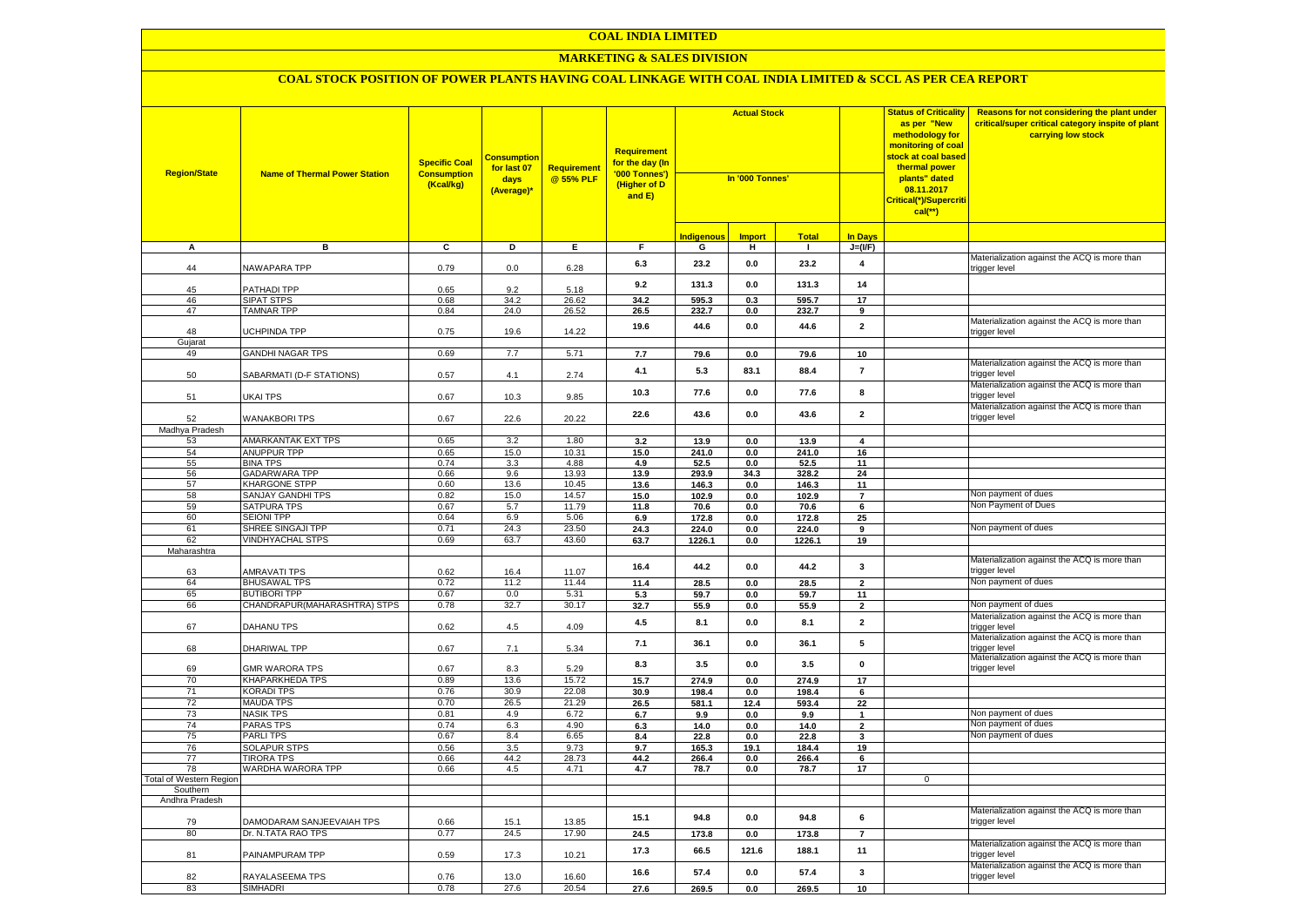#### **MARKETING & SALES DIVISION**

| <b>Region/State</b>            | <b>Name of Thermal Power Station</b>   | <b>Specific Coal</b><br><b>Consumption</b><br>(Kcal/kg) | <b>Consumption</b><br>for last 07<br>days<br>(Average)* | Requirement<br>@ 55% PLF | <b>Requirement</b><br>f <mark>or the day (In</mark><br>'000 Tonnes')<br>(Higher of D<br>and E) | <b>Actual Stock</b><br>In '000 Tonnes' |                |                 |                         | <b>Status of Criticality</b><br>as per "New<br>methodology for<br>monitoring of coal<br>stock at coal based<br>thermal power<br>plants" dated<br>08.11.2017<br>Critical(*)/Supercriti<br>$cal$ (**) | Reasons for not considering the plant under<br>critical/super critical category inspite of plant<br>carrying low stock |
|--------------------------------|----------------------------------------|---------------------------------------------------------|---------------------------------------------------------|--------------------------|------------------------------------------------------------------------------------------------|----------------------------------------|----------------|-----------------|-------------------------|-----------------------------------------------------------------------------------------------------------------------------------------------------------------------------------------------------|------------------------------------------------------------------------------------------------------------------------|
|                                |                                        |                                                         |                                                         |                          |                                                                                                | <b>Indigenous</b>                      | <b>Import</b>  | <b>Total</b>    | <b>In Days</b>          |                                                                                                                                                                                                     |                                                                                                                        |
| А                              | в                                      | $\overline{c}$                                          | Þ                                                       | E                        | $\overline{F}$                                                                                 | G                                      | н              | $\blacksquare$  | $J=(VF)$                |                                                                                                                                                                                                     |                                                                                                                        |
| 44                             | <b>NAWAPARA TPP</b>                    | 0.79                                                    | 0.0                                                     | 6.28                     | 6.3                                                                                            | 23.2                                   | 0.0            | 23.2            | 4                       |                                                                                                                                                                                                     | Materialization against the ACQ is more than<br>rigger level                                                           |
| 45                             | PATHADI TPP                            | 0.65                                                    | 9.2                                                     | 5.18                     | 9.2                                                                                            | 131.3                                  | 0.0            | 131.3           | 14                      |                                                                                                                                                                                                     |                                                                                                                        |
| 46                             | <b>SIPAT STPS</b>                      | 0.68                                                    | 34.2                                                    | 26.62                    | 34.2                                                                                           | 595.3                                  | 0.3            | 595.7           | 17                      |                                                                                                                                                                                                     |                                                                                                                        |
| 47                             | <b>TAMNAR TPP</b>                      | 0.84                                                    | 24.0                                                    | $26.\overline{52}$       | 26.5                                                                                           | 232.7                                  | 0.0            | 232.7           | 9                       |                                                                                                                                                                                                     |                                                                                                                        |
| 48<br>Gujarat                  | UCHPINDA TPP                           | 0.75                                                    | 19.6                                                    | 14.22                    | 19.6                                                                                           | 44.6                                   | 0.0            | 44.6            | $\overline{2}$          |                                                                                                                                                                                                     | Materialization against the ACQ is more than<br>trigger level                                                          |
| 49                             | <b>GANDHI NAGAR TPS</b>                | 0.69                                                    | 7.7                                                     | 5.71                     | 7.7                                                                                            | 79.6                                   | 0.0            | 79.6            | 10                      |                                                                                                                                                                                                     |                                                                                                                        |
| 50                             | SABARMATI (D-F STATIONS)               | 0.57                                                    | 4.1                                                     | 2.74                     | 4.1                                                                                            | 5.3                                    | 83.1           | 88.4            | $\overline{7}$          |                                                                                                                                                                                                     | Materialization against the ACQ is more than<br>trigger level                                                          |
| 51                             | UKAI TPS                               | 0.67                                                    | 10.3                                                    | 9.85                     | 10.3                                                                                           | 77.6                                   | 0.0            | 77.6            | 8                       |                                                                                                                                                                                                     | Materialization against the ACQ is more than<br>rigger level:                                                          |
| 52                             | <b>WANAKBORI TPS</b>                   | 0.67                                                    | 22.6                                                    | 20.22                    | 22.6                                                                                           | 43.6                                   | 0.0            | 43.6            | $\overline{\mathbf{2}}$ |                                                                                                                                                                                                     | Materialization against the ACQ is more than<br>trigger level                                                          |
| Madhya Pradesh                 |                                        |                                                         |                                                         |                          |                                                                                                |                                        |                |                 |                         |                                                                                                                                                                                                     |                                                                                                                        |
| 53                             | <b>AMARKANTAK EXT TPS</b>              | 0.65                                                    | 3.2                                                     | 1.80                     | 3.2                                                                                            | 13.9                                   | 0.0            | 13.9            | $\overline{\mathbf{4}}$ |                                                                                                                                                                                                     |                                                                                                                        |
| 54                             | <b>ANUPPUR TPP</b>                     | 0.65                                                    | 15.0                                                    | 10.31                    | 15.0                                                                                           | 241.0                                  | 0.0            | 241.0           | 16                      |                                                                                                                                                                                                     |                                                                                                                        |
| 55                             | <b>BINA TPS</b>                        | 0.74                                                    | 3.3                                                     | 4.88                     | 4.9                                                                                            | 52.5                                   | 0.0            | 52.5            | 11                      |                                                                                                                                                                                                     |                                                                                                                        |
| 56                             | <b>GADARWARA TPP</b>                   | 0.66                                                    | 9.6                                                     | 13.93                    | 13.9                                                                                           | 293.9                                  | 34.3           | 328.2           | 24                      |                                                                                                                                                                                                     |                                                                                                                        |
| 57                             | <b>KHARGONE STPP</b>                   | 0.60                                                    | 13.6                                                    | 10.45                    | 13.6                                                                                           | 146.3                                  | 0.0            | 146.3           | 11                      |                                                                                                                                                                                                     |                                                                                                                        |
| 58                             | <b>SANJAY GANDHI TPS</b>               | 0.82                                                    | 15.0                                                    | 14.57                    | 15.0                                                                                           | 102.9                                  | 0.0            | 102.9           | $\overline{7}$          |                                                                                                                                                                                                     | Non payment of dues                                                                                                    |
| 59                             | <b>SATPURA TPS</b>                     | 0.67                                                    | 5.7                                                     | 11.79                    | 11.8                                                                                           | 70.6                                   | 0.0            | 70.6            | $6\overline{6}$         |                                                                                                                                                                                                     | Non Payment of Dues                                                                                                    |
| 60<br>61                       | <b>SEIONI TPP</b><br>SHREE SINGAJI TPP | 0.64                                                    | 6.9<br>24.3                                             | 5.06<br>23.50            | 6.9                                                                                            | 172.8                                  | 0.0            | 172.8           | 25                      |                                                                                                                                                                                                     | Non payment of dues                                                                                                    |
| 62                             | <b>VINDHYACHAL STPS</b>                | 0.71<br>0.69                                            | 63.7                                                    | 43.60                    | 24.3<br>63.7                                                                                   | 224.0<br>1226.1                        | 0.0<br>$0.0\,$ | 224.0<br>1226.1 | 9<br>19                 |                                                                                                                                                                                                     |                                                                                                                        |
| Maharashtra                    |                                        |                                                         |                                                         |                          |                                                                                                |                                        |                |                 |                         |                                                                                                                                                                                                     |                                                                                                                        |
| 63                             | <b>AMRAVATI TPS</b>                    | 0.62                                                    | 16.4                                                    | 11.07                    | 16.4                                                                                           | 44.2                                   | 0.0            | 44.2            | $\mathbf{3}$            |                                                                                                                                                                                                     | Materialization against the ACQ is more than<br>rigger level:                                                          |
| 64                             | <b>BHUSAWAL TPS</b>                    | 0.72                                                    | 11.2                                                    | 11.44                    | 11.4                                                                                           | 28.5                                   | $0.0\,$        | 28.5            | $\mathbf 2$             |                                                                                                                                                                                                     | Non payment of dues                                                                                                    |
| 65                             | <b>BUTIBORI TPP</b>                    | 0.67                                                    | 0.0                                                     | 5.31                     | 5.3                                                                                            | 59.7                                   | 0.0            | 59.7            | 11                      |                                                                                                                                                                                                     |                                                                                                                        |
| 66                             | CHANDRAPUR (MAHARASHTRA) STPS          | 0.78                                                    | 32.7                                                    | 30.17                    | 32.7                                                                                           | 55.9                                   | 0.0            | 55.9            | $\overline{2}$          |                                                                                                                                                                                                     | Non payment of dues                                                                                                    |
| 67                             | DAHANU TPS                             | 0.62                                                    | 4.5                                                     | 4.09                     | 4.5                                                                                            | 8.1                                    | 0.0            | 8.1             | $\overline{\mathbf{2}}$ |                                                                                                                                                                                                     | Materialization against the ACQ is more than<br>trigger level                                                          |
| 68                             | DHARIWAL TPP                           | 0.67                                                    | 7.1                                                     | 5.34                     | 7.1                                                                                            | 36.1                                   | 0.0            | 36.1            | 5                       |                                                                                                                                                                                                     | Materialization against the ACQ is more than<br>trigger level                                                          |
| 69                             | <b>GMR WARORA TPS</b>                  | 0.67                                                    | 8.3                                                     | 5.29                     | 8.3                                                                                            | 3.5                                    | 0.0            | 3.5             | $\mathbf 0$             |                                                                                                                                                                                                     | Materialization against the ACQ is more than<br>trigger level                                                          |
| 70                             | <b>KHAPARKHEDA TPS</b>                 | 0.89                                                    | 13.6                                                    | 15.72                    | 15.7                                                                                           | 274.9                                  | 0.0            | 274.9           | 17                      |                                                                                                                                                                                                     |                                                                                                                        |
| 71                             | <b>KORADI TPS</b>                      | 0.76                                                    | 30.9                                                    | 22.08                    | 30.9                                                                                           | 198.4                                  | $0.0\,$        | 198.4           | 6                       |                                                                                                                                                                                                     |                                                                                                                        |
| 72                             | <b>MAUDA TPS</b>                       | 0.70                                                    | 26.5                                                    | 21.29                    | 26.5                                                                                           | 581.1                                  | 12.4           | 593.4           | 22                      |                                                                                                                                                                                                     |                                                                                                                        |
| 73                             | <b>NASIK TPS</b>                       | 0.81                                                    | 4.9                                                     | 6.72                     | 6.7                                                                                            | 9.9                                    | 0.0            | 9.9             | $\mathbf{1}$            |                                                                                                                                                                                                     | Non payment of dues                                                                                                    |
| 74<br>75                       | <b>PARAS TPS</b><br><b>PARLITPS</b>    | 0.74<br>0.67                                            | 6.3<br>8.4                                              | 4.90<br>6.65             | 6.3                                                                                            | 14.0                                   | 0.0            | 14.0            | $\mathbf 2$             |                                                                                                                                                                                                     | Non payment of dues<br>Non payment of dues                                                                             |
| 76                             | <b>SOLAPUR STPS</b>                    | 0.56                                                    | 3.5                                                     | 9.73                     | 8.4<br>9.7                                                                                     | 22.8<br>165.3                          | 0.0<br>19.1    | 22.8<br>184.4   | 3<br>19                 |                                                                                                                                                                                                     |                                                                                                                        |
| 77                             | <b>TIRORA TPS</b>                      | 0.66                                                    | 44.2                                                    | 28.73                    | 44.2                                                                                           | 266.4                                  | 0.0            | 266.4           | 6                       |                                                                                                                                                                                                     |                                                                                                                        |
| 78                             | WARDHA WARORA TPP                      | 0.66                                                    | 4.5                                                     | 4.71                     | 4.7                                                                                            | 78.7                                   | 0.0            | 78.7            | 17                      |                                                                                                                                                                                                     |                                                                                                                        |
| <b>Total of Western Region</b> |                                        |                                                         |                                                         |                          |                                                                                                |                                        |                |                 |                         | $\mathbf 0$                                                                                                                                                                                         |                                                                                                                        |
| Southern                       |                                        |                                                         |                                                         |                          |                                                                                                |                                        |                |                 |                         |                                                                                                                                                                                                     |                                                                                                                        |
| Andhra Pradesh                 |                                        |                                                         |                                                         |                          |                                                                                                |                                        |                |                 |                         |                                                                                                                                                                                                     |                                                                                                                        |
| 79                             | DAMODARAM SANJEEVAIAH TPS              | 0.66                                                    | 15.1                                                    | 13.85                    | 15.1                                                                                           | 94.8                                   | 0.0            | 94.8            | 6                       |                                                                                                                                                                                                     | Materialization against the ACQ is more than<br>trigger level                                                          |
| 80                             | Dr. N.TATA RAO TPS                     | 0.77                                                    | 24.5                                                    | 17.90                    | 24.5                                                                                           | 173.8                                  | 0.0            | 173.8           | $\overline{7}$          |                                                                                                                                                                                                     |                                                                                                                        |
| 81                             | PAINAMPURAM TPP                        | 0.59                                                    | 17.3                                                    | 10.21                    | 17.3                                                                                           | 66.5                                   | 121.6          | 188.1           | 11                      |                                                                                                                                                                                                     | Materialization against the ACQ is more than<br>rigger level                                                           |
| 82                             | RAYALASEEMA TPS                        | 0.76                                                    | 13.0                                                    | 16.60                    | 16.6                                                                                           | 57.4                                   | 0.0            | 57.4            | 3                       |                                                                                                                                                                                                     | Materialization against the ACQ is more than<br>trigger level                                                          |
| 83                             | <b>SIMHADRI</b>                        | 0.78                                                    | 27.6                                                    | 20.54                    | 27.6                                                                                           | 269.5                                  | 0.0            | 269.5           | 10                      |                                                                                                                                                                                                     |                                                                                                                        |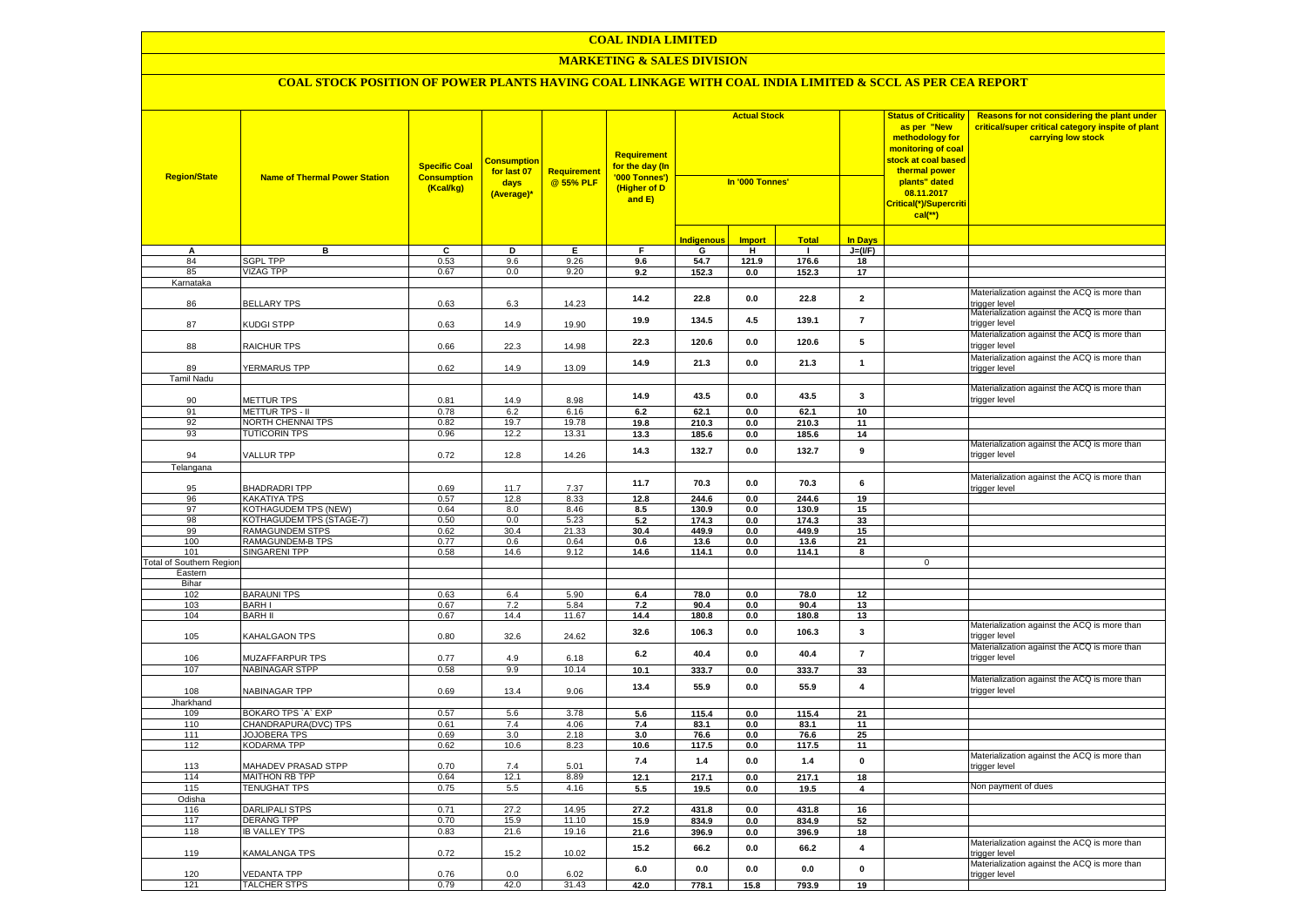#### **MARKETING & SALES DIVISION**

| <b>Region/State</b>             | <b>Name of Thermal Power Station</b>               | <b>Specific Coal</b><br><b>Consumption</b><br>(Kcal/kg) | <u>Consumptior</u><br>for last 07<br>days<br>(Average)* | Requirement<br>@ 55% PLF | <b>Requirement</b><br><mark>for the day (In</mark><br>'000 Tonnes')<br>(Higher of D<br>and E) | <b>Actual Stock</b><br>In '000 Tonnes' |                    |                |                         | <b>Status of Criticality</b><br>as per "New<br>methodology for<br>monitoring of coal<br><mark>stock at coal based</mark><br>thermal power<br>plants" dated<br>08.11.2017<br>Critical(*)/Supercriti<br>$cal(**)$ | Reasons for not considering the plant under<br>critical/super critical category inspite of plant<br>carrying low stock |
|---------------------------------|----------------------------------------------------|---------------------------------------------------------|---------------------------------------------------------|--------------------------|-----------------------------------------------------------------------------------------------|----------------------------------------|--------------------|----------------|-------------------------|-----------------------------------------------------------------------------------------------------------------------------------------------------------------------------------------------------------------|------------------------------------------------------------------------------------------------------------------------|
|                                 |                                                    |                                                         |                                                         |                          |                                                                                               | <b>Indigenous</b>                      | <b>Import</b>      | <b>Total</b>   | <b>In Days</b>          |                                                                                                                                                                                                                 |                                                                                                                        |
| Α                               | в                                                  | c                                                       | Þ                                                       | Ε                        | F                                                                                             | G                                      | Ŧ                  | ℸ              | $J=(VF)$                |                                                                                                                                                                                                                 |                                                                                                                        |
| 84                              | <b>SGPL TPP</b>                                    | 0.53                                                    | 9.6                                                     | 9.26                     | 9.6                                                                                           | 54.7                                   | 121.9              | 176.6          | 18                      |                                                                                                                                                                                                                 |                                                                                                                        |
| 85                              | <b>VIZAG TPP</b>                                   | 0.67                                                    | 0.0                                                     | 9.20                     | 9.2                                                                                           | 152.3                                  | 0.0                | 152.3          | 17                      |                                                                                                                                                                                                                 |                                                                                                                        |
| Karnataka                       |                                                    |                                                         |                                                         |                          |                                                                                               |                                        |                    |                |                         |                                                                                                                                                                                                                 |                                                                                                                        |
| 86                              | <b>BELLARY TPS</b>                                 | 0.63                                                    | 6.3                                                     | 14.23                    | 14.2                                                                                          | 22.8                                   | 0.0                | 22.8           | $\overline{\mathbf{2}}$ |                                                                                                                                                                                                                 | Materialization against the ACQ is more than<br>rigger level                                                           |
| 87                              | KUDGI STPP                                         | 0.63                                                    | 14.9                                                    | 19.90                    | 19.9                                                                                          | 134.5                                  | 4.5                | 139.1          | $\overline{7}$          |                                                                                                                                                                                                                 | Materialization against the ACQ is more than<br>trigger level                                                          |
| 88                              | RAICHUR TPS                                        | 0.66                                                    | 22.3                                                    | 14.98                    | 22.3                                                                                          | 120.6                                  | 0.0                | 120.6          | 5                       |                                                                                                                                                                                                                 | Materialization against the ACQ is more than<br>rigger level                                                           |
| 89                              | YERMARUS TPP                                       | 0.62                                                    | 14.9                                                    | 13.09                    | 14.9                                                                                          | 21.3                                   | $0.0\,$            | 21.3           | $\mathbf{1}$            |                                                                                                                                                                                                                 | Materialization against the ACQ is more than<br>rigger level                                                           |
| <b>Tamil Nadu</b>               |                                                    |                                                         |                                                         |                          |                                                                                               |                                        |                    |                |                         |                                                                                                                                                                                                                 |                                                                                                                        |
| 90                              | METTUR TPS                                         | 0.81                                                    | 14.9                                                    | 8.98                     | 14.9                                                                                          | 43.5                                   | 0.0                | 43.5           | $\mathbf{3}$            |                                                                                                                                                                                                                 | Materialization against the ACQ is more than<br>trigger level                                                          |
| 91                              | <b>METTUR TPS - II</b>                             | 0.78                                                    | 6.2                                                     | 6.16                     | 6.2                                                                                           | 62.1                                   | 0.0                | 62.1           | 10                      |                                                                                                                                                                                                                 |                                                                                                                        |
| 92                              | NORTH CHENNAI TPS                                  | 0.82                                                    | 19.7                                                    | 19.78                    | 19.8                                                                                          | 210.3                                  | $0.0\,$            | 210.3          | 11                      |                                                                                                                                                                                                                 |                                                                                                                        |
| 93                              | <b>TUTICORIN TPS</b>                               | 0.96                                                    | 12.2                                                    | 13.31                    | 13.3                                                                                          | 185.6                                  | 0.0                | 185.6          | 14                      |                                                                                                                                                                                                                 |                                                                                                                        |
| 94                              | VALLUR TPP                                         | 0.72                                                    | 12.8                                                    | 14.26                    | 14.3                                                                                          | 132.7                                  | 0.0                | 132.7          | 9                       |                                                                                                                                                                                                                 | Materialization against the ACQ is more than<br>rigger level                                                           |
| Telangana                       |                                                    |                                                         |                                                         |                          |                                                                                               |                                        |                    |                |                         |                                                                                                                                                                                                                 |                                                                                                                        |
|                                 |                                                    |                                                         |                                                         |                          | 11.7                                                                                          | 70.3                                   | 0.0                | 70.3           | 6                       |                                                                                                                                                                                                                 | Materialization against the ACQ is more than                                                                           |
| 95                              | <b>BHADRADRITPP</b>                                | 0.69                                                    | 11.7                                                    | 7.37                     |                                                                                               |                                        |                    |                |                         |                                                                                                                                                                                                                 | rigger level                                                                                                           |
| 96<br>97                        | <b>KAKATIYA TPS</b><br><b>KOTHAGUDEM TPS (NEW)</b> | 0.57<br>0.64                                            | 12.8<br>8.0                                             | 8.33<br>8.46             | 12.8                                                                                          | 244.6                                  | 0.0                | 244.6          | 19                      |                                                                                                                                                                                                                 |                                                                                                                        |
| 98                              | KOTHAGUDEM TPS (STAGE-7)                           | 0.50                                                    | $0.0\,$                                                 |                          | 8.5<br>5.2                                                                                    | 130.9<br>174.3                         | $0.0\,$<br>$0.0\,$ | 130.9<br>174.3 | 15<br>33                |                                                                                                                                                                                                                 |                                                                                                                        |
| 99                              | RAMAGUNDEM STPS                                    | 0.62                                                    | 30.4                                                    | 5.23<br>21.33            | 30.4                                                                                          | 449.9                                  | $0.0\,$            | 449.9          | 15                      |                                                                                                                                                                                                                 |                                                                                                                        |
| 100                             | RAMAGUNDEM-B TPS                                   | 0.77                                                    | 0.6                                                     | 0.64                     | 0.6                                                                                           | 13.6                                   | $0.0\,$            | 13.6           | 21                      |                                                                                                                                                                                                                 |                                                                                                                        |
| 101                             | <b>SINGARENI TPP</b>                               | 0.58                                                    | 14.6                                                    | 9.12                     | 14.6                                                                                          | 114.1                                  | 0.0                | 114.1          | 8                       |                                                                                                                                                                                                                 |                                                                                                                        |
| <b>Total of Southern Region</b> |                                                    |                                                         |                                                         |                          |                                                                                               |                                        |                    |                |                         | $\mathbf 0$                                                                                                                                                                                                     |                                                                                                                        |
| Eastern                         |                                                    |                                                         |                                                         |                          |                                                                                               |                                        |                    |                |                         |                                                                                                                                                                                                                 |                                                                                                                        |
| Bihar                           |                                                    |                                                         |                                                         |                          |                                                                                               |                                        |                    |                |                         |                                                                                                                                                                                                                 |                                                                                                                        |
| 102                             | <b>BARAUNI TPS</b>                                 | 0.63                                                    | 6.4                                                     | 5.90                     | 6.4                                                                                           | 78.0                                   | 0.0                | 78.0           | 12                      |                                                                                                                                                                                                                 |                                                                                                                        |
| 103<br>104                      | <b>BARHI</b><br><b>BARH II</b>                     | 0.67                                                    | 7.2<br>14.4                                             | 5.84<br>11.67            | 7.2                                                                                           | 90.4                                   | 0.0                | 90.4<br>180.8  | 13                      |                                                                                                                                                                                                                 |                                                                                                                        |
|                                 |                                                    | 0.67                                                    |                                                         |                          | 14.4                                                                                          | 180.8                                  | 0.0                |                | 13                      |                                                                                                                                                                                                                 | Materialization against the ACQ is more than                                                                           |
| 105                             | KAHALGAON TPS                                      | 0.80                                                    | 32.6                                                    | 24.62                    | 32.6                                                                                          | 106.3                                  | 0.0                | 106.3          | 3                       |                                                                                                                                                                                                                 | trigger level<br>Materialization against the ACQ is more than                                                          |
| 106                             | MUZAFFARPUR TPS                                    | 0.77                                                    | 4.9                                                     | 6.18                     | $\bf 6.2$                                                                                     | 40.4                                   | 0.0                | 40.4           | $\overline{7}$          |                                                                                                                                                                                                                 | trigger level                                                                                                          |
| 107                             | <b>NABINAGAR STPP</b>                              | 0.58                                                    | 9.9                                                     | 10.14                    | 10.1                                                                                          | 333.7                                  | $\mathbf{0.0}$     | 333.7          | 33                      |                                                                                                                                                                                                                 | Materialization against the ACQ is more than                                                                           |
| 108                             | NABINAGAR TPP                                      | 0.69                                                    | 13.4                                                    | 9.06                     | 13.4                                                                                          | 55.9                                   | 0.0                | 55.9           | $\pmb{4}$               |                                                                                                                                                                                                                 | rigger level                                                                                                           |
| Jharkhand                       |                                                    |                                                         |                                                         |                          |                                                                                               |                                        |                    |                |                         |                                                                                                                                                                                                                 |                                                                                                                        |
| 109<br>110                      | BOKARO TPS `A` EXP<br>CHANDRAPURA(DVC) TPS         | 0.57<br>0.61                                            | 5.6<br>7.4                                              | 3.78<br>4.06             | 5.6<br>7.4                                                                                    | 115.4<br>83.1                          | 0.0<br>0.0         | 115.4<br>83.1  | 21<br>11                |                                                                                                                                                                                                                 |                                                                                                                        |
| 111                             | <b>JOJOBERA TPS</b>                                | 0.69                                                    | 3.0                                                     | 2.18                     | 3.0                                                                                           | 76.6                                   | 0.0                | 76.6           | 25                      |                                                                                                                                                                                                                 |                                                                                                                        |
| 112                             | KODARMA TPP                                        | 0.62                                                    | 10.6                                                    | 8.23                     | 10.6                                                                                          | 117.5                                  | 0.0                | 117.5          | 11                      |                                                                                                                                                                                                                 |                                                                                                                        |
| 113                             | <b>MAHADEV PRASAD STPP</b>                         | 0.70                                                    | 7.4                                                     | 5.01                     | 7.4                                                                                           | $1.4$                                  | 0.0                | 1.4            | $\pmb{0}$               |                                                                                                                                                                                                                 | Materialization against the ACQ is more than<br>rigger level                                                           |
| 114                             | MAITHON RB TPP                                     | 0.64                                                    | 12.1                                                    | 8.89                     | 12.1                                                                                          | 217.1                                  | 0.0                | 217.1          | 18                      |                                                                                                                                                                                                                 |                                                                                                                        |
| 115                             | <b>TENUGHAT TPS</b>                                | 0.75                                                    | 5.5                                                     | 4.16                     | 5.5                                                                                           | 19.5                                   | 0.0                | 19.5           | $\overline{\mathbf{4}}$ |                                                                                                                                                                                                                 | Non payment of dues                                                                                                    |
| Odisha                          |                                                    |                                                         |                                                         |                          |                                                                                               |                                        |                    |                |                         |                                                                                                                                                                                                                 |                                                                                                                        |
| 116                             | <b>DARLIPALI STPS</b>                              | 0.71                                                    | 27.2                                                    | 14.95                    | 27.2                                                                                          | 431.8                                  | 0.0                | 431.8          | 16                      |                                                                                                                                                                                                                 |                                                                                                                        |
| 117                             | <b>DERANG TPP</b>                                  | 0.70                                                    | 15.9                                                    | 11.10                    | 15.9                                                                                          | 834.9                                  | 0.0                | 834.9          | 52                      |                                                                                                                                                                                                                 |                                                                                                                        |
| 118                             | <b>IB VALLEY TPS</b>                               | 0.83                                                    | 21.6                                                    | 19.16                    | 21.6                                                                                          | 396.9                                  | 0.0                | 396.9          | 18                      |                                                                                                                                                                                                                 |                                                                                                                        |
| 119                             | KAMALANGA TPS                                      | 0.72                                                    | 15.2                                                    | 10.02                    | 15.2                                                                                          | 66.2                                   | 0.0                | 66.2           | $\overline{\mathbf{4}}$ |                                                                                                                                                                                                                 | Materialization against the ACQ is more than<br>rigger level                                                           |
| 120                             | <b>VEDANTA TPP</b>                                 | 0.76                                                    | 0.0                                                     | 6.02                     | 6.0                                                                                           | 0.0                                    | 0.0                | 0.0            | $\mathbf{0}$            |                                                                                                                                                                                                                 | Materialization against the ACQ is more than<br>trigger level                                                          |
| 121                             | <b>TALCHER STPS</b>                                | 0.79                                                    | 42.0                                                    | 31.43                    | 42.0                                                                                          | 778.1                                  | 15.8               | 793.9          | 19                      |                                                                                                                                                                                                                 |                                                                                                                        |